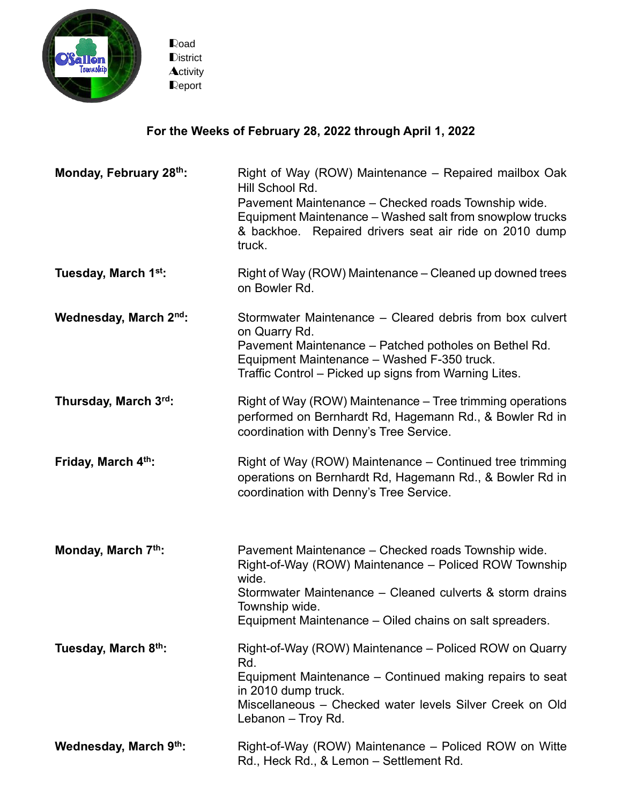

## **For the Weeks of February 28, 2022 through April 1, 2022**

| Monday, February 28th:           | Right of Way (ROW) Maintenance – Repaired mailbox Oak<br>Hill School Rd.<br>Pavement Maintenance - Checked roads Township wide.<br>Equipment Maintenance – Washed salt from snowplow trucks<br>& backhoe. Repaired drivers seat air ride on 2010 dump<br>truck. |
|----------------------------------|-----------------------------------------------------------------------------------------------------------------------------------------------------------------------------------------------------------------------------------------------------------------|
| Tuesday, March 1 <sup>st</sup> : | Right of Way (ROW) Maintenance – Cleaned up downed trees<br>on Bowler Rd.                                                                                                                                                                                       |
| Wednesday, March 2nd:            | Stormwater Maintenance – Cleared debris from box culvert<br>on Quarry Rd.<br>Pavement Maintenance - Patched potholes on Bethel Rd.<br>Equipment Maintenance - Washed F-350 truck.<br>Traffic Control – Picked up signs from Warning Lites.                      |
| Thursday, March 3rd:             | Right of Way (ROW) Maintenance – Tree trimming operations<br>performed on Bernhardt Rd, Hagemann Rd., & Bowler Rd in<br>coordination with Denny's Tree Service.                                                                                                 |
| Friday, March 4th:               | Right of Way (ROW) Maintenance – Continued tree trimming<br>operations on Bernhardt Rd, Hagemann Rd., & Bowler Rd in<br>coordination with Denny's Tree Service.                                                                                                 |
| Monday, March 7th:               | Pavement Maintenance - Checked roads Township wide.<br>Right-of-Way (ROW) Maintenance – Policed ROW Township<br>wide.<br>Stormwater Maintenance - Cleaned culverts & storm drains<br>Township wide.<br>Equipment Maintenance – Oiled chains on salt spreaders.  |
| Tuesday, March 8th:              | Right-of-Way (ROW) Maintenance – Policed ROW on Quarry<br>Rd.<br>Equipment Maintenance – Continued making repairs to seat<br>in 2010 dump truck.<br>Miscellaneous - Checked water levels Silver Creek on Old<br>Lebanon - Troy Rd.                              |
| Wednesday, March 9th:            | Right-of-Way (ROW) Maintenance – Policed ROW on Witte<br>Rd., Heck Rd., & Lemon - Settlement Rd.                                                                                                                                                                |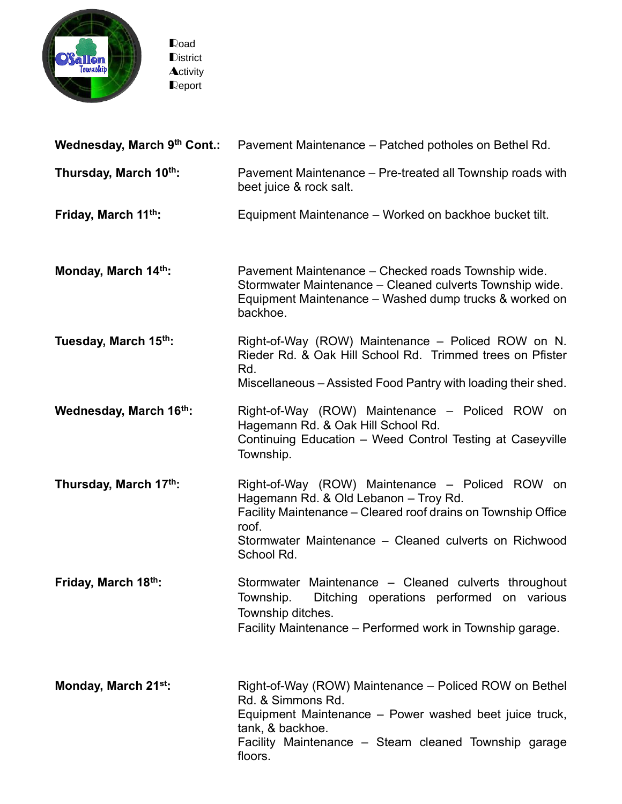

| Wednesday, March 9th Cont.: | Pavement Maintenance – Patched potholes on Bethel Rd.                                                                                                                                                                                     |
|-----------------------------|-------------------------------------------------------------------------------------------------------------------------------------------------------------------------------------------------------------------------------------------|
| Thursday, March 10th:       | Pavement Maintenance – Pre-treated all Township roads with<br>beet juice & rock salt.                                                                                                                                                     |
| Friday, March 11th:         | Equipment Maintenance – Worked on backhoe bucket tilt.                                                                                                                                                                                    |
| Monday, March 14th:         | Pavement Maintenance – Checked roads Township wide.<br>Stormwater Maintenance - Cleaned culverts Township wide.<br>Equipment Maintenance – Washed dump trucks & worked on<br>backhoe.                                                     |
| Tuesday, March 15th:        | Right-of-Way (ROW) Maintenance – Policed ROW on N.<br>Rieder Rd. & Oak Hill School Rd. Trimmed trees on Pfister<br>Rd.<br>Miscellaneous – Assisted Food Pantry with loading their shed.                                                   |
| Wednesday, March 16th:      | Right-of-Way (ROW) Maintenance - Policed ROW on<br>Hagemann Rd. & Oak Hill School Rd.<br>Continuing Education - Weed Control Testing at Caseyville<br>Township.                                                                           |
| Thursday, March 17th:       | Right-of-Way (ROW) Maintenance - Policed ROW on<br>Hagemann Rd. & Old Lebanon - Troy Rd.<br>Facility Maintenance - Cleared roof drains on Township Office<br>roof.<br>Stormwater Maintenance - Cleaned culverts on Richwood<br>School Rd. |
| Friday, March 18th:         | Stormwater Maintenance - Cleaned culverts throughout<br>Ditching operations performed on various<br>Township.<br>Township ditches.<br>Facility Maintenance – Performed work in Township garage.                                           |
| Monday, March 21st:         | Right-of-Way (ROW) Maintenance - Policed ROW on Bethel<br>Rd. & Simmons Rd.<br>Equipment Maintenance - Power washed beet juice truck,<br>tank, & backhoe.<br>Facility Maintenance – Steam cleaned Township garage<br>floors.              |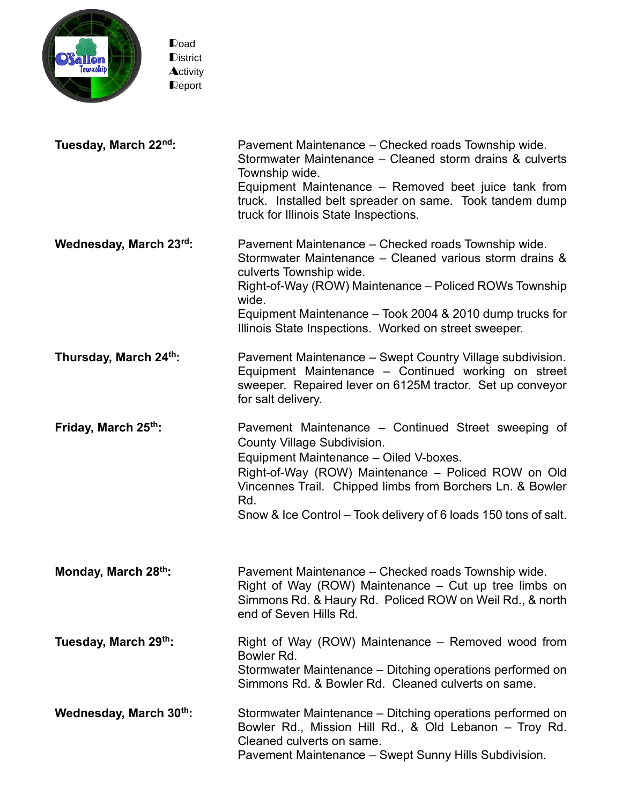

| Tuesday, March 22nd:   | Pavement Maintenance – Checked roads Township wide.<br>Stormwater Maintenance – Cleaned storm drains & culverts<br>Township wide.<br>Equipment Maintenance – Removed beet juice tank from<br>truck. Installed belt spreader on same. Took tandem dump<br>truck for Illinois State Inspections.                                    |
|------------------------|-----------------------------------------------------------------------------------------------------------------------------------------------------------------------------------------------------------------------------------------------------------------------------------------------------------------------------------|
| Wednesday, March 23rd: | Pavement Maintenance – Checked roads Township wide.<br>Stormwater Maintenance - Cleaned various storm drains &<br>culverts Township wide.<br>Right-of-Way (ROW) Maintenance – Policed ROWs Township<br>wide.<br>Equipment Maintenance – Took 2004 & 2010 dump trucks for<br>Illinois State Inspections. Worked on street sweeper. |
| Thursday, March 24th:  | Pavement Maintenance - Swept Country Village subdivision.<br>Equipment Maintenance - Continued working on street<br>sweeper. Repaired lever on 6125M tractor. Set up conveyor<br>for salt delivery.                                                                                                                               |
| Friday, March 25th:    | Pavement Maintenance – Continued Street sweeping of<br><b>County Village Subdivision.</b><br>Equipment Maintenance - Oiled V-boxes.<br>Right-of-Way (ROW) Maintenance - Policed ROW on Old<br>Vincennes Trail. Chipped limbs from Borchers Ln. & Bowler<br>Rd.<br>Snow & Ice Control – Took delivery of 6 loads 150 tons of salt. |
| Monday, March 28th:    | Pavement Maintenance - Checked roads Township wide.<br>Right of Way (ROW) Maintenance – Cut up tree limbs on<br>Simmons Rd. & Haury Rd. Policed ROW on Weil Rd., & north<br>end of Seven Hills Rd.                                                                                                                                |
| Tuesday, March 29th:   | Right of Way (ROW) Maintenance – Removed wood from<br>Bowler Rd.<br>Stormwater Maintenance – Ditching operations performed on<br>Simmons Rd. & Bowler Rd. Cleaned culverts on same.                                                                                                                                               |
| Wednesday, March 30th: | Stormwater Maintenance – Ditching operations performed on<br>Bowler Rd., Mission Hill Rd., & Old Lebanon – Troy Rd.<br>Cleaned culverts on same.<br>Pavement Maintenance - Swept Sunny Hills Subdivision.                                                                                                                         |